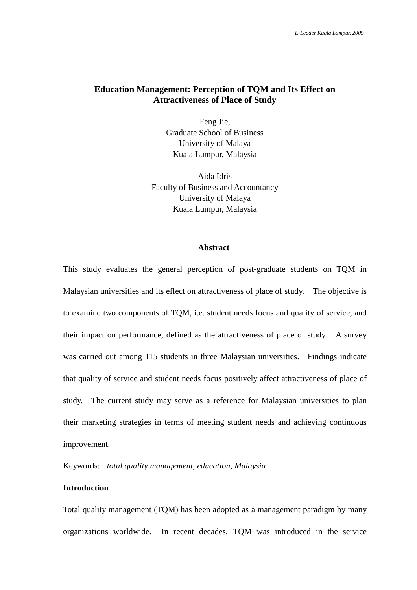# **Education Management: Perception of TQM and Its Effect on Attractiveness of Place of Study**

Feng Jie, Graduate School of Business University of Malaya Kuala Lumpur, Malaysia

Aida Idris Faculty of Business and Accountancy University of Malaya Kuala Lumpur, Malaysia

#### **Abstract**

This study evaluates the general perception of post-graduate students on TQM in Malaysian universities and its effect on attractiveness of place of study. The objective is to examine two components of TQM, i.e. student needs focus and quality of service, and their impact on performance, defined as the attractiveness of place of study. A survey was carried out among 115 students in three Malaysian universities. Findings indicate that quality of service and student needs focus positively affect attractiveness of place of study. The current study may serve as a reference for Malaysian universities to plan their marketing strategies in terms of meeting student needs and achieving continuous improvement.

Keywords: *total quality management, education, Malaysia* 

# **Introduction**

Total quality management (TQM) has been adopted as a management paradigm by many organizations worldwide. In recent decades, TQM was introduced in the service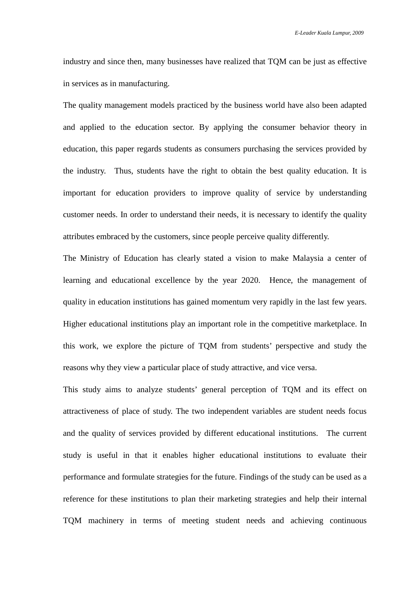industry and since then, many businesses have realized that TQM can be just as effective in services as in manufacturing.

The quality management models practiced by the business world have also been adapted and applied to the education sector. By applying the consumer behavior theory in education, this paper regards students as consumers purchasing the services provided by the industry. Thus, students have the right to obtain the best quality education. It is important for education providers to improve quality of service by understanding customer needs. In order to understand their needs, it is necessary to identify the quality attributes embraced by the customers, since people perceive quality differently.

The Ministry of Education has clearly stated a vision to make Malaysia a center of learning and educational excellence by the year 2020. Hence, the management of quality in education institutions has gained momentum very rapidly in the last few years. Higher educational institutions play an important role in the competitive marketplace. In this work, we explore the picture of TQM from students' perspective and study the reasons why they view a particular place of study attractive, and vice versa.

This study aims to analyze students' general perception of TQM and its effect on attractiveness of place of study. The two independent variables are student needs focus and the quality of services provided by different educational institutions. The current study is useful in that it enables higher educational institutions to evaluate their performance and formulate strategies for the future. Findings of the study can be used as a reference for these institutions to plan their marketing strategies and help their internal TQM machinery in terms of meeting student needs and achieving continuous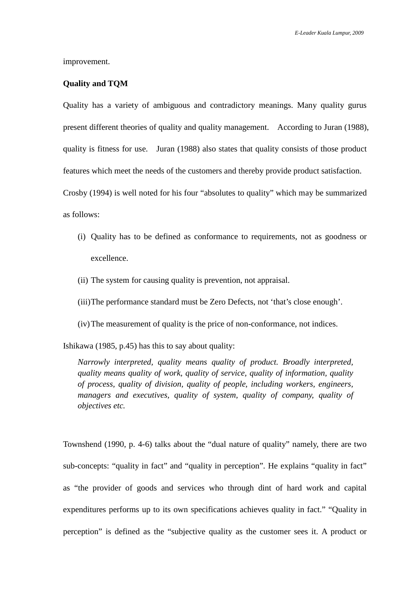improvement.

### **Quality and TQM**

Quality has a variety of ambiguous and contradictory meanings. Many quality gurus present different theories of quality and quality management. According to Juran (1988), quality is fitness for use. Juran (1988) also states that quality consists of those product features which meet the needs of the customers and thereby provide product satisfaction. Crosby (1994) is well noted for his four "absolutes to quality" which may be summarized

as follows:

- (i) Quality has to be defined as conformance to requirements, not as goodness or excellence.
- (ii) The system for causing quality is prevention, not appraisal.
- (iii)The performance standard must be Zero Defects, not 'that's close enough'.
- (iv)The measurement of quality is the price of non-conformance, not indices.

Ishikawa (1985, p.45) has this to say about quality:

*Narrowly interpreted, quality means quality of product. Broadly interpreted, quality means quality of work, quality of service, quality of information, quality of process, quality of division, quality of people, including workers, engineers, managers and executives, quality of system, quality of company, quality of objectives etc.* 

Townshend (1990, p. 4-6) talks about the "dual nature of quality" namely, there are two sub-concepts: "quality in fact" and "quality in perception". He explains "quality in fact" as "the provider of goods and services who through dint of hard work and capital expenditures performs up to its own specifications achieves quality in fact." "Quality in perception" is defined as the "subjective quality as the customer sees it. A product or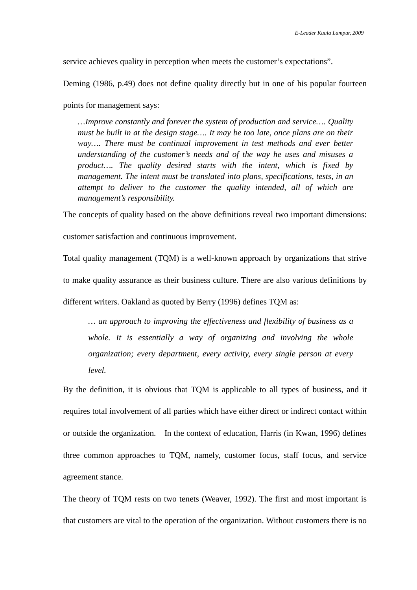service achieves quality in perception when meets the customer's expectations".

Deming (1986, p.49) does not define quality directly but in one of his popular fourteen

points for management says:

*…Improve constantly and forever the system of production and service…. Quality must be built in at the design stage…. It may be too late, once plans are on their*  way.... There must be continual improvement in test methods and ever better *understanding of the customer's needs and of the way he uses and misuses a product…. The quality desired starts with the intent, which is fixed by management. The intent must be translated into plans, specifications, tests, in an attempt to deliver to the customer the quality intended, all of which are management's responsibility.* 

The concepts of quality based on the above definitions reveal two important dimensions:

customer satisfaction and continuous improvement.

Total quality management (TQM) is a well-known approach by organizations that strive to make quality assurance as their business culture. There are also various definitions by different writers. Oakland as quoted by Berry (1996) defines TQM as:

*… an approach to improving the effectiveness and flexibility of business as a whole. It is essentially a way of organizing and involving the whole organization; every department, every activity, every single person at every level.* 

By the definition, it is obvious that TQM is applicable to all types of business, and it requires total involvement of all parties which have either direct or indirect contact within or outside the organization. In the context of education, Harris (in Kwan, 1996) defines three common approaches to TQM, namely, customer focus, staff focus, and service agreement stance.

The theory of TQM rests on two tenets (Weaver, 1992). The first and most important is that customers are vital to the operation of the organization. Without customers there is no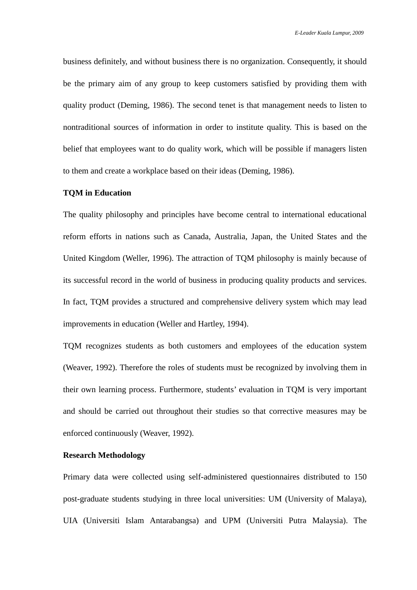business definitely, and without business there is no organization. Consequently, it should be the primary aim of any group to keep customers satisfied by providing them with quality product (Deming, 1986). The second tenet is that management needs to listen to nontraditional sources of information in order to institute quality. This is based on the belief that employees want to do quality work, which will be possible if managers listen to them and create a workplace based on their ideas (Deming, 1986).

#### **TQM in Education**

The quality philosophy and principles have become central to international educational reform efforts in nations such as Canada, Australia, Japan, the United States and the United Kingdom (Weller, 1996). The attraction of TQM philosophy is mainly because of its successful record in the world of business in producing quality products and services. In fact, TQM provides a structured and comprehensive delivery system which may lead improvements in education (Weller and Hartley, 1994).

TQM recognizes students as both customers and employees of the education system (Weaver, 1992). Therefore the roles of students must be recognized by involving them in their own learning process. Furthermore, students' evaluation in TQM is very important and should be carried out throughout their studies so that corrective measures may be enforced continuously (Weaver, 1992).

### **Research Methodology**

Primary data were collected using self-administered questionnaires distributed to 150 post-graduate students studying in three local universities: UM (University of Malaya), UIA (Universiti Islam Antarabangsa) and UPM (Universiti Putra Malaysia). The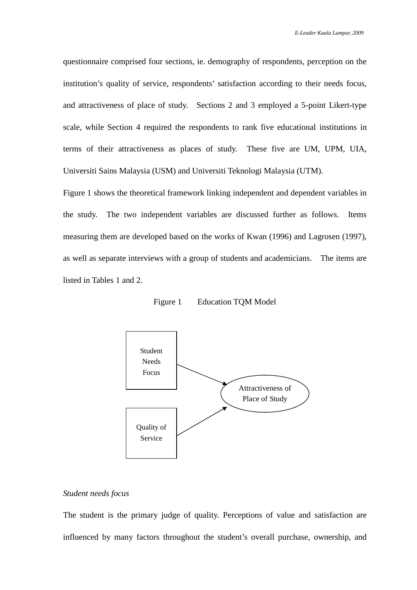questionnaire comprised four sections, ie. demography of respondents, perception on the institution's quality of service, respondents' satisfaction according to their needs focus, and attractiveness of place of study. Sections 2 and 3 employed a 5-point Likert-type scale, while Section 4 required the respondents to rank five educational institutions in terms of their attractiveness as places of study. These five are UM, UPM, UIA, Universiti Sains Malaysia (USM) and Universiti Teknologi Malaysia (UTM).

Figure 1 shows the theoretical framework linking independent and dependent variables in the study. The two independent variables are discussed further as follows. Items measuring them are developed based on the works of Kwan (1996) and Lagrosen (1997), as well as separate interviews with a group of students and academicians. The items are listed in Tables 1 and 2.

Figure 1 Education TQM Model



#### *Student needs focus*

The student is the primary judge of quality. Perceptions of value and satisfaction are influenced by many factors throughout the student's overall purchase, ownership, and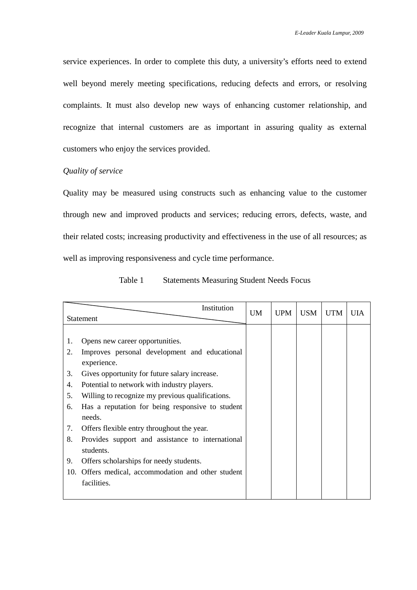service experiences. In order to complete this duty, a university's efforts need to extend well beyond merely meeting specifications, reducing defects and errors, or resolving complaints. It must also develop new ways of enhancing customer relationship, and recognize that internal customers are as important in assuring quality as external customers who enjoy the services provided.

### *Quality of service*

Quality may be measured using constructs such as enhancing value to the customer through new and improved products and services; reducing errors, defects, waste, and their related costs; increasing productivity and effectiveness in the use of all resources; as well as improving responsiveness and cycle time performance.

| Table 1 | <b>Statements Measuring Student Needs Focus</b> |  |
|---------|-------------------------------------------------|--|
|---------|-------------------------------------------------|--|

|           | Institution                                      | UM | <b>UPM</b> | <b>USM</b> | <b>UTM</b> | UІА |
|-----------|--------------------------------------------------|----|------------|------------|------------|-----|
| Statement |                                                  |    |            |            |            |     |
|           |                                                  |    |            |            |            |     |
| 1.        | Opens new career opportunities.                  |    |            |            |            |     |
| 2.        | Improves personal development and educational    |    |            |            |            |     |
|           | experience.                                      |    |            |            |            |     |
| 3.        | Gives opportunity for future salary increase.    |    |            |            |            |     |
| 4.        | Potential to network with industry players.      |    |            |            |            |     |
| 5.        | Willing to recognize my previous qualifications. |    |            |            |            |     |
| 6.        | Has a reputation for being responsive to student |    |            |            |            |     |
|           | needs.                                           |    |            |            |            |     |
| 7.        | Offers flexible entry throughout the year.       |    |            |            |            |     |
| 8.        | Provides support and assistance to international |    |            |            |            |     |
|           | students.                                        |    |            |            |            |     |
| 9.        | Offers scholarships for needy students.          |    |            |            |            |     |
| 10.       | Offers medical, accommodation and other student  |    |            |            |            |     |
|           | facilities.                                      |    |            |            |            |     |
|           |                                                  |    |            |            |            |     |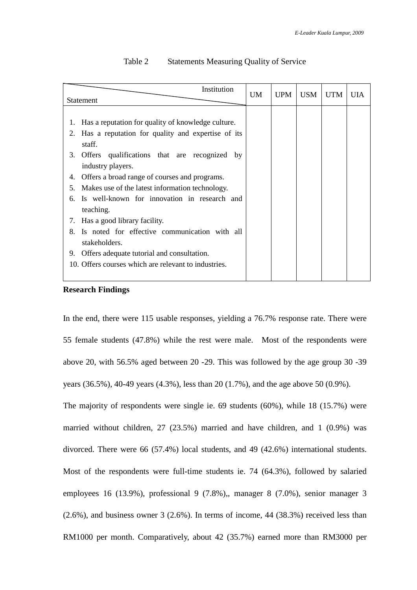| Institution                                          |                                                    | UM | <b>UPM</b> | <b>USM</b> | <b>UTM</b> | UIA |
|------------------------------------------------------|----------------------------------------------------|----|------------|------------|------------|-----|
| <b>Statement</b>                                     |                                                    |    |            |            |            |     |
|                                                      |                                                    |    |            |            |            |     |
| 1.                                                   | Has a reputation for quality of knowledge culture. |    |            |            |            |     |
| 2.                                                   | Has a reputation for quality and expertise of its  |    |            |            |            |     |
|                                                      | staff.                                             |    |            |            |            |     |
| 3.                                                   | qualifications that are recognized<br>Offers<br>by |    |            |            |            |     |
|                                                      | industry players.                                  |    |            |            |            |     |
| 4.                                                   | Offers a broad range of courses and programs.      |    |            |            |            |     |
| 5.                                                   | Makes use of the latest information technology.    |    |            |            |            |     |
| б.                                                   | Is well-known for innovation in research and       |    |            |            |            |     |
|                                                      | teaching.                                          |    |            |            |            |     |
| Has a good library facility.<br>7.                   |                                                    |    |            |            |            |     |
| 8.                                                   | Is noted for effective communication with all      |    |            |            |            |     |
|                                                      | stakeholders.                                      |    |            |            |            |     |
| 9.                                                   | Offers adequate tutorial and consultation.         |    |            |            |            |     |
| 10. Offers courses which are relevant to industries. |                                                    |    |            |            |            |     |
|                                                      |                                                    |    |            |            |            |     |

### Table 2 Statements Measuring Quality of Service

### **Research Findings**

In the end, there were 115 usable responses, yielding a 76.7% response rate. There were 55 female students (47.8%) while the rest were male. Most of the respondents were above 20, with 56.5% aged between 20 -29. This was followed by the age group 30 -39 years (36.5%), 40-49 years (4.3%), less than 20 (1.7%), and the age above 50 (0.9%).

The majority of respondents were single ie. 69 students (60%), while 18 (15.7%) were married without children, 27 (23.5%) married and have children, and 1 (0.9%) was divorced. There were 66 (57.4%) local students, and 49 (42.6%) international students. Most of the respondents were full-time students ie. 74 (64.3%), followed by salaried employees 16 (13.9%), professional 9 (7.8%),, manager 8 (7.0%), senior manager 3 (2.6%), and business owner 3 (2.6%). In terms of income, 44 (38.3%) received less than RM1000 per month. Comparatively, about 42 (35.7%) earned more than RM3000 per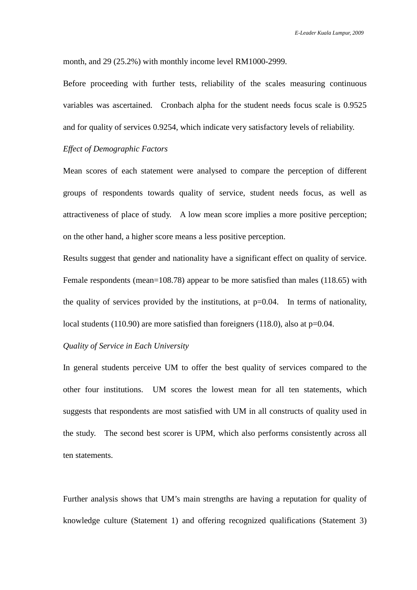month, and 29 (25.2%) with monthly income level RM1000-2999.

Before proceeding with further tests, reliability of the scales measuring continuous variables was ascertained. Cronbach alpha for the student needs focus scale is 0.9525 and for quality of services 0.9254, which indicate very satisfactory levels of reliability.

### *Effect of Demographic Factors*

Mean scores of each statement were analysed to compare the perception of different groups of respondents towards quality of service, student needs focus, as well as attractiveness of place of study. A low mean score implies a more positive perception; on the other hand, a higher score means a less positive perception.

Results suggest that gender and nationality have a significant effect on quality of service. Female respondents (mean=108.78) appear to be more satisfied than males (118.65) with the quality of services provided by the institutions, at  $p=0.04$ . In terms of nationality, local students (110.90) are more satisfied than foreigners (118.0), also at p=0.04.

### *Quality of Service in Each University*

In general students perceive UM to offer the best quality of services compared to the other four institutions. UM scores the lowest mean for all ten statements, which suggests that respondents are most satisfied with UM in all constructs of quality used in the study. The second best scorer is UPM, which also performs consistently across all ten statements.

Further analysis shows that UM's main strengths are having a reputation for quality of knowledge culture (Statement 1) and offering recognized qualifications (Statement 3)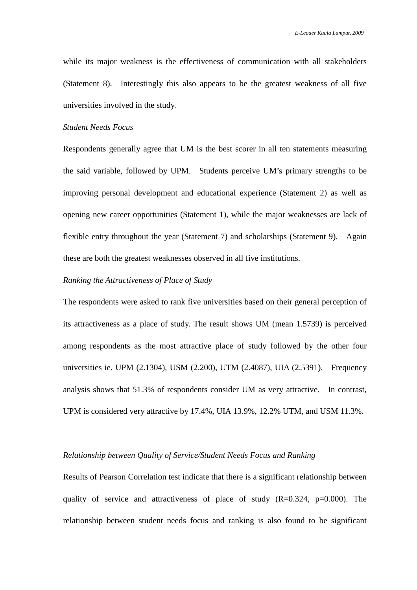while its major weakness is the effectiveness of communication with all stakeholders (Statement 8). Interestingly this also appears to be the greatest weakness of all five universities involved in the study.

# *Student Needs Focus*

Respondents generally agree that UM is the best scorer in all ten statements measuring the said variable, followed by UPM. Students perceive UM's primary strengths to be improving personal development and educational experience (Statement 2) as well as opening new career opportunities (Statement 1), while the major weaknesses are lack of flexible entry throughout the year (Statement 7) and scholarships (Statement 9). Again these are both the greatest weaknesses observed in all five institutions.

# *Ranking the Attractiveness of Place of Study*

The respondents were asked to rank five universities based on their general perception of its attractiveness as a place of study. The result shows UM (mean 1.5739) is perceived among respondents as the most attractive place of study followed by the other four universities ie. UPM (2.1304), USM (2.200), UTM (2.4087), UIA (2.5391). Frequency analysis shows that 51.3% of respondents consider UM as very attractive. In contrast, UPM is considered very attractive by 17.4%, UIA 13.9%, 12.2% UTM, and USM 11.3%.

#### *Relationship between Quality of Service/Student Needs Focus and Ranking*

Results of Pearson Correlation test indicate that there is a significant relationship between quality of service and attractiveness of place of study  $(R=0.324, p=0.000)$ . The relationship between student needs focus and ranking is also found to be significant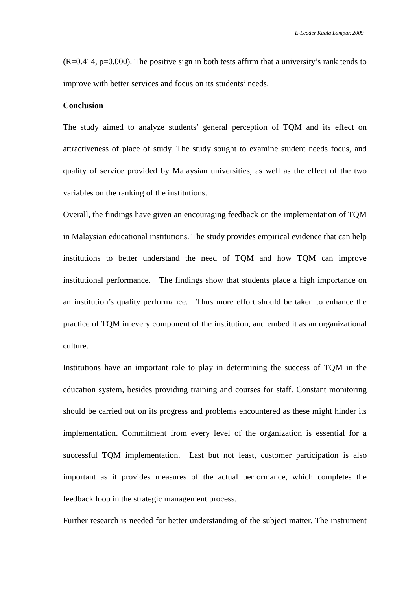$(R=0.414, p=0.000)$ . The positive sign in both tests affirm that a university's rank tends to improve with better services and focus on its students' needs.

# **Conclusion**

The study aimed to analyze students' general perception of TQM and its effect on attractiveness of place of study. The study sought to examine student needs focus, and quality of service provided by Malaysian universities, as well as the effect of the two variables on the ranking of the institutions.

Overall, the findings have given an encouraging feedback on the implementation of TQM in Malaysian educational institutions. The study provides empirical evidence that can help institutions to better understand the need of TQM and how TQM can improve institutional performance. The findings show that students place a high importance on an institution's quality performance. Thus more effort should be taken to enhance the practice of TQM in every component of the institution, and embed it as an organizational culture.

Institutions have an important role to play in determining the success of TQM in the education system, besides providing training and courses for staff. Constant monitoring should be carried out on its progress and problems encountered as these might hinder its implementation. Commitment from every level of the organization is essential for a successful TQM implementation. Last but not least, customer participation is also important as it provides measures of the actual performance, which completes the feedback loop in the strategic management process.

Further research is needed for better understanding of the subject matter. The instrument